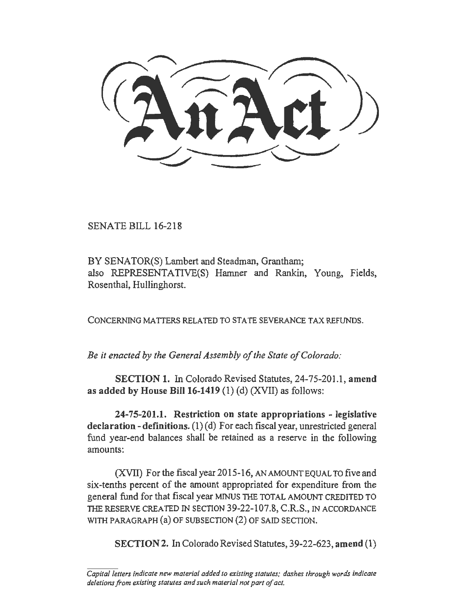SENATE BILL 16-218

BY SENATOR(S) Lambert and Steadman, Grantham; also REPRESENTATIVE(S) Hamner and Rankin, Young, Fields, Rosenthal, Hullinghorst.

CONCERNING MA TIERS RELATED TO STA TE SEVERANCE TAX REFUNDS.

*Be* it *enacted by the General Assembly of the State of Colorado:* 

SECTION 1. In Colorado Revised Statutes, 24-75-201.1, amend as added by House Bill  $16-1419$  (1) (d) (XVII) as follows:

24-75-201.1. Restriction on state appropriations - legislative declaration - definitions.  $(1)(d)$  For each fiscal year, unrestricted general fund year-end balances shall be retained as a reserve in the following amounts:

(XVII) For the fiscal year 2015-16, AN AMOUNT EQUAL TO five and six-tenths percent of the amount appropriated for expenditure from the general fund for that fiscal year MINUS THE TOTAL AMOUNT CREDITED TO THE RESERVE CREATED IN SECTION 39-22-107.8, C.R.S., IN ACCORDANCE WITH PARAGRAPH (a) OF SUBSECTION (2) OF SAID SECTION.

SECTION 2. In Colorado Revised Statutes, 39-22-623, amend (1)

*Capito/ letters indicate new material added to existing statutes; dashes through words indicate deletions from existing statutes and such material not port of act.*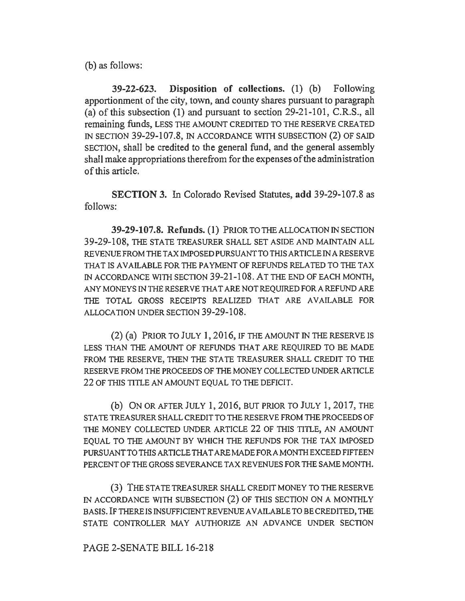(b) as follows:

39-22-623. Disposition of collections. (1) (b) Following apportionment of the city, town, and county shares pursuant to paragraph (a) of this subsection (1) and pursuant to section 29-21-101, C.R.S., all remaining funds, LESS THE AMOUNT CREDITED TO THE RESERVE CREATED IN SECTION 39-29-107.8, IN ACCORDANCE WITH SUBSECTION (2) OF SAID SECTION, shall be credited to the general fund, and the general assembly shall make appropriations therefrom for the expenses of the administration of this article.

SECTION 3. In Colorado Revised Statutes, add 39-29-107.8 as follows:

39-29-107.8. Refunds. (1) PRIOR TO THE ALLOCATION IN SECTION 39-29-108, THE STATE TREASURER SHALL SET ASIDE AND MAINTAIN ALL REVENUE FROM THE TAX IMPOSED PURSUANT TO THIS ARTICLE IN A RESERVE THAT IS AVAILABLE FOR THE PAYMENT OF REFUNDS RELATED TO THE TAX IN ACCORDANCE WITH SECTION 39-21-108. AT THE END OF EACH MONTH, ANY MONEYS IN THE RESERVE THAT ARE NOT REQUIRED FOR A REFUND ARE THE TOTAL GROSS RECEIPTS REALIZED THAT ARE AVAILABLE FOR ALLOCATION UNDER SECTION 39-29-108.

 $(2)$  (a) PRIOR TO JULY 1, 2016, IF THE AMOUNT IN THE RESERVE IS LESS THAN THE AMOUNT OF REFUNDS THAT ARE REQUIRED TO BE MADE FROM THE RESERVE, THEN THE STATE TREASURER SHALL CREDIT TO THE RESERVE FROM THE PROCEEDS OF THE MONEY COLLECTED UNDER ARTICLE 22 OF THIS TITLE AN AMOUNT EQUAL TO THE DEFICIT.

(b) ON OR AFTER JULY 1, 2016, BUT PRIOR TO JULY 1, 2017, THE STA TE TREASURER SHALL CREDIT TO THE RESERVE FROM THE PROCEEDS OF THE MONEY COLLECTED UNDER ARTICLE 22 OF THIS TITLE, AN AMOUNT EQUAL TO THE AMOUNT BY WHICH THE REFUNDS FOR THE TAX IMPOSED PURSUANT TO THIS ARTICLE THAT ARE MADE FORA MONTH EXCEED FIFTEEN PERCENT OF THE GROSS SEVERANCE TAX REVENUES FOR THE SAME MONTH.

(3) THE STA TE TREASURER SHALL CREDIT MONEY TO THE RESERVE IN ACCORDANCE WITH SUBSECTION (2) OF THIS SECTION ON A MONTHLY BASIS. IF THERE IS INSUFFICIENT REVENUE AVAILABLE TO BE CREDITED, THE STATE CONTROLLER MAY AUTHORIZE AN ADVANCE UNDER SECTION

## PAGE 2-SENATE BILL 16-218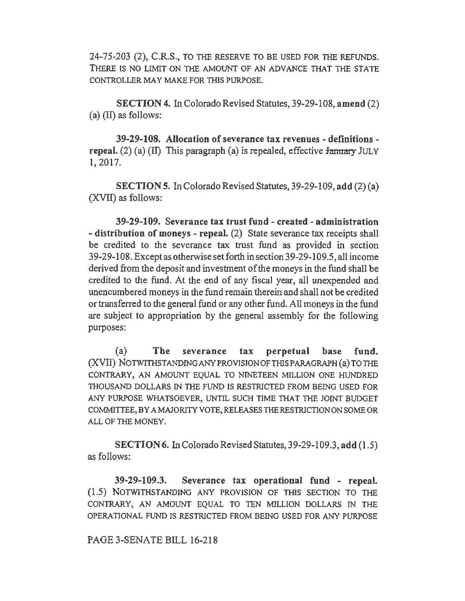24-75-203 (2), C.R.S., TO THE RESERVE TO BE USED FOR THE REFUNDS. THERE IS NO LIMIT ON THE AMOUNT OF AN ADVANCE THAT THE STA TE CONTROLLER MAY MAKE FOR THIS PURPOSE.

SECTION 4. In Colorado Revised Statutes, 39-29-108, amend (2) (a) (II) as follows:

39-29-108. Allocation of severance tax revenues - definitions repeal. (2) (a) (II) This paragraph (a) is repealed, effective  $\frac{1}{2}$  JULY 1, 2017.

SECTION 5. In Colorado Revised Statutes, 39-29-109, add (2) (a) (XVII) as follows:

39-29-109. Severance tax trust fund - created - administration - distribution of moneys - repeal. (2) State severance tax receipts shall be credited to the severance tax trust fund as provided in section 39-29-108. Except as otherwise set forth in section39-29-l 09.5, all income derived from the deposit and investment of the moneys in the fund shall be credited to the fund. At the end of any fiscal year, all unexpended and unencumbered moneys in the fund remain therein and shall not be credited or transferred to the general fund or any other fund. All moneys in the fund are subject to appropriation by the general assembly for the following purposes:

(a) The severance tax perpetual base fund. (XVII) NOTWITHSTANDING ANY PROVISION OF THIS PARAGRAPH (a) TO THE CONTRARY, AN AMOUNT EQUAL TO NINETEEN MILLION ONE HUNDRED THOUSAND DOLLARS IN THE FUND IS RESTRICTED FROM BEING USED FOR ANY PURPOSE WHATSOEVER, UNTIL SUCH TIME THAT THE JOINT BUDGET COMMITTEE, BY A MAJORITY VOTE, RELEASES THE RESTRICTION ON SOME OR ALL OF THE MONEY.

SECTION 6. In Colorado Revised Statutes, 39-29-109 .3, add (I .5) as follows:

39-29-109.3. Severance tax operational fund - repeal. (1.5) NOTWITHSTANDING ANY PROVISION OF THIS SECTION TO THE CONTRARY, AN AMOUNT EQUAL TO TEN MILLION DOLLARS IN THE OPERATIONAL FUND IS RESTRJCTED FROM BEING USED FOR ANY PURPOSE

## PAGE 3-SENATE BILL 16-218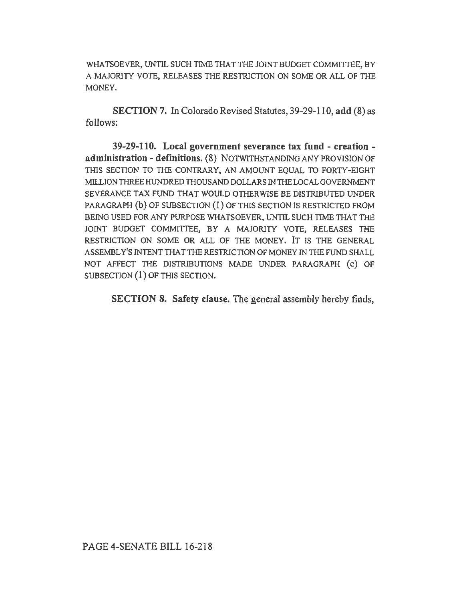WHATSOEVER, UNTIL SUCH TIME THAT THE JOINT BUDGET COMMITTEE, BY A MAJORJTY VOTE, RELEASES THE RESTRJCTION ON SOME OR ALL OF THE MONEY.

SECTION 7. In Colorado Revised Statutes, 39-29-110, add (8) as follows:

39-29-110. Local government severance tax fund - creation administration - definitions. (8) NOTWITHSTANDING ANY PROVISION OF THIS SECTION TO THE CONTRARY, AN AMOUNT EQUAL TO FORTY-EIGHT MILLION THREE HUNDRED THOUSAND DOLLARS IN THE LOCAL GOVERNMENT SEVERANCE TAX FUND THAT WOULD OTHERWISE BE DISTRIBUTED UNDER PARAGRAPH (b) OF SUBSECTION (1) OF THIS SECTION IS RESTRICTED FROM BEING USED FOR ANY PURPOSE WHATSOEVER, UNTIL SUCH TIME THAT THE JOINT BUDGET COMMITTEE, BY A MAJORITY VOTE, RELEASES THE RESTRJCTION ON SOME OR ALL OF THE MONEY. IT IS THE GENERAL ASSEMBLY'S INTENT THAT THE RESTRICTION OF MONEY IN THE FUND SHALL NOT AFFECT THE DISTRIBUTIONS MADE UNDER PARAGRAPH (c) OF SUBSECTION (1) OF THIS SECTION.

SECTION 8. Safety clause. The general assembly hereby finds,